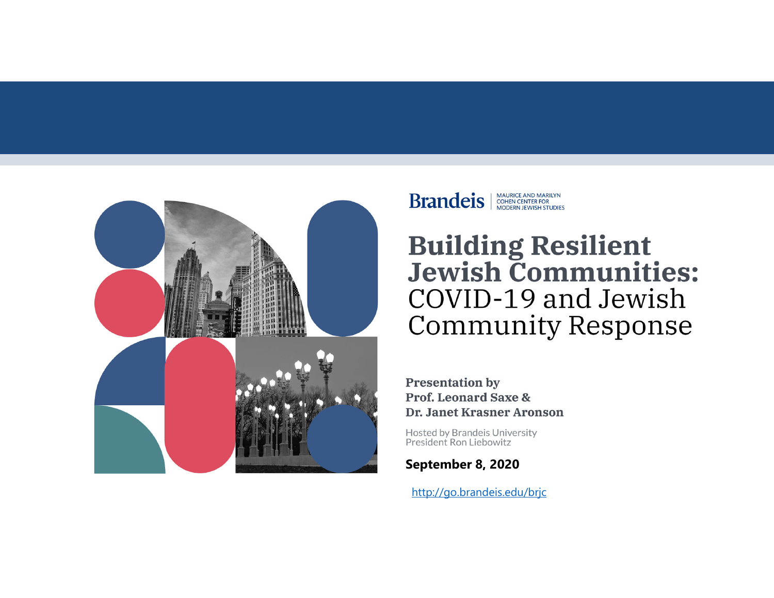

#### **Brandeis** ECHEN CENTER FOR

# **Building Resilient<br>Jewish Communities:** COVID-19 and Jewish **Community Response**

**Presentation by Prof. Leonard Saxe & Dr. Janet Krasner Aronson** 

**Hosted by Brandeis University** President Ron Liebowitz

**September 8, 2020**

http://go.brandeis.edu/brjc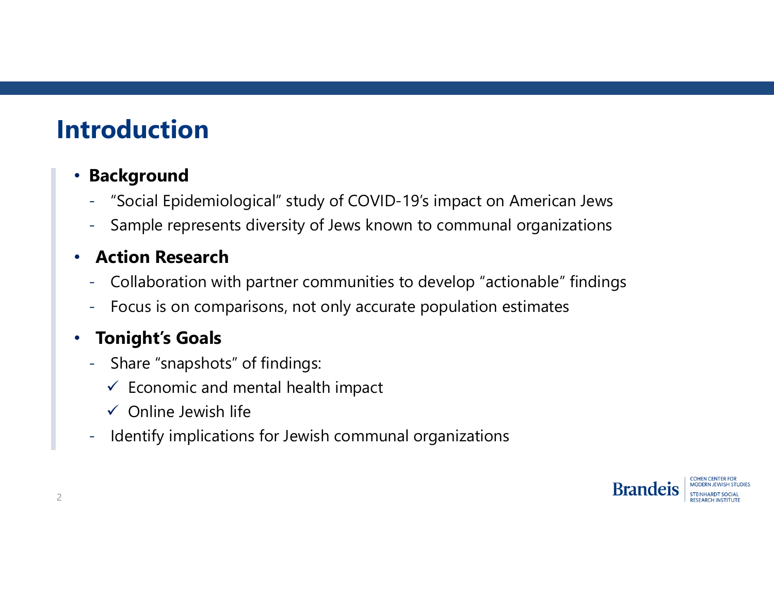## **Introduction**

#### • **Background**

- -"Social Epidemiological" study of COVID-19's impact on American Jews
- -Sample represents diversity of Jews known to communal organizations

#### •**Action Research**

- -Collaboration with partner communities to develop "actionable" findings
- -Focus is on comparisons, not only accurate population estimates

#### $\bullet$ **Tonight's Goals**

- Share "snapshots" of findings:
	- $\checkmark$  Economic and mental health impact
	- $\checkmark$  Online Jewish life
- -Identify implications for Jewish communal organizations

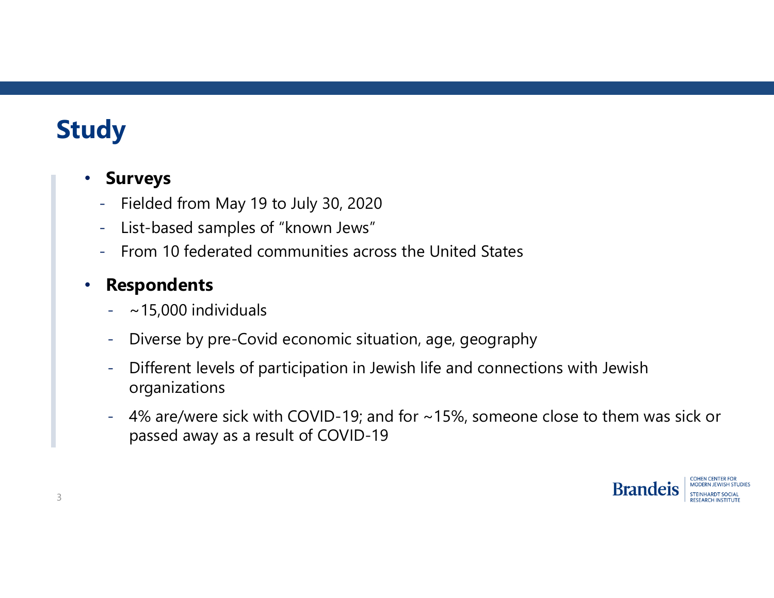# **Study**

#### •**Surveys**

- Fielded from May 19 to July 30, 2020
- -List-based samples of "known Jews"
- From 10 federated communities across the United States

#### $\bullet$ **Respondents**

- -~15,000 individuals
- -Diverse by pre-Covid economic situation, age, geography
- - Different levels of participation in Jewish life and connections with Jewish organizations
- - 4% are/were sick with COVID-19; and for ~15%, someone close to them was sick or passed away as a result of COVID-19

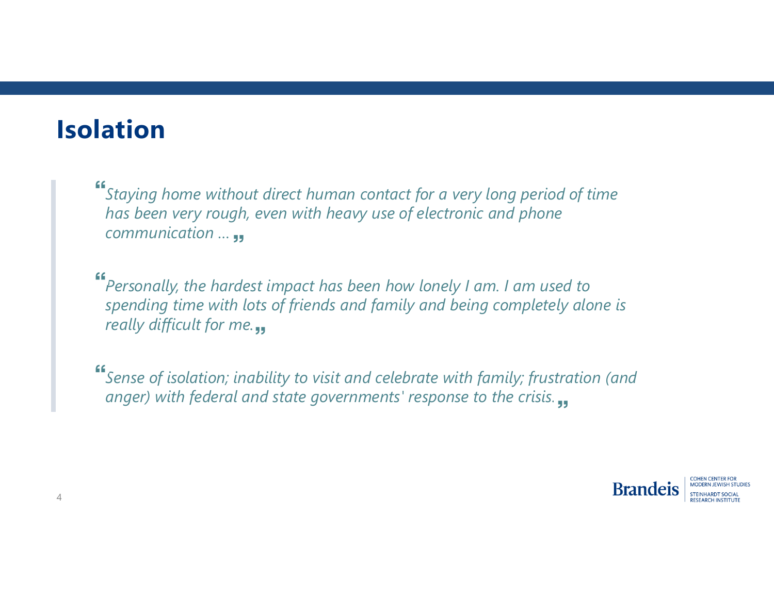### **Isolation**

*Staying home without direct human contact for a very long period of time has been very rough, even with heavy use of electronic and phone communication …* 

*Personally, the hardest impact has been how lonely I am. I am used to spending time with lots of friends and family and being completely alone is really difficult for me.*

*Sense of isolation; inability to visit and celebrate with family; frustration (and anger) with federal and state governments' response to the crisis.*

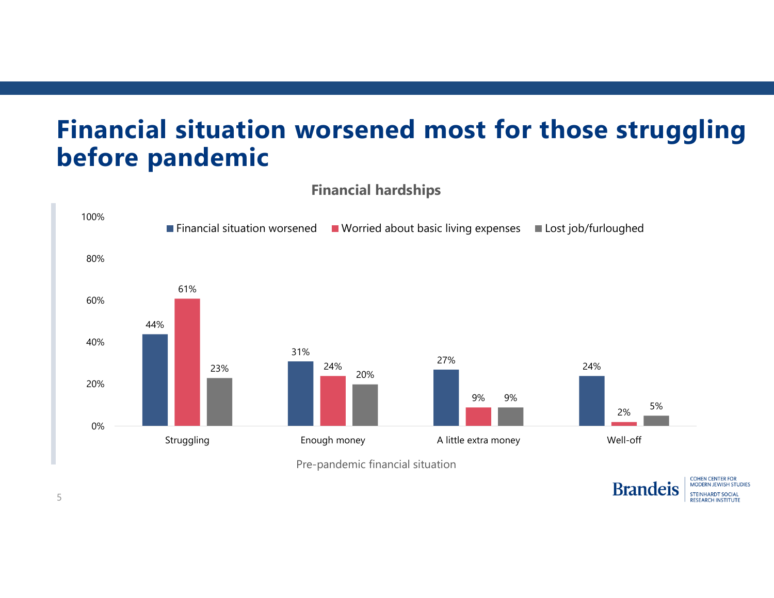#### **Financial situation worsened most for those struggling before pandemic**

**Financial hardships**



Pre-pandemic financial situation



**COHEN CENTER FOR** MODERN JEWISH STUDIES **STEINHARDT SOCIAL RESEARCH INSTITUTE**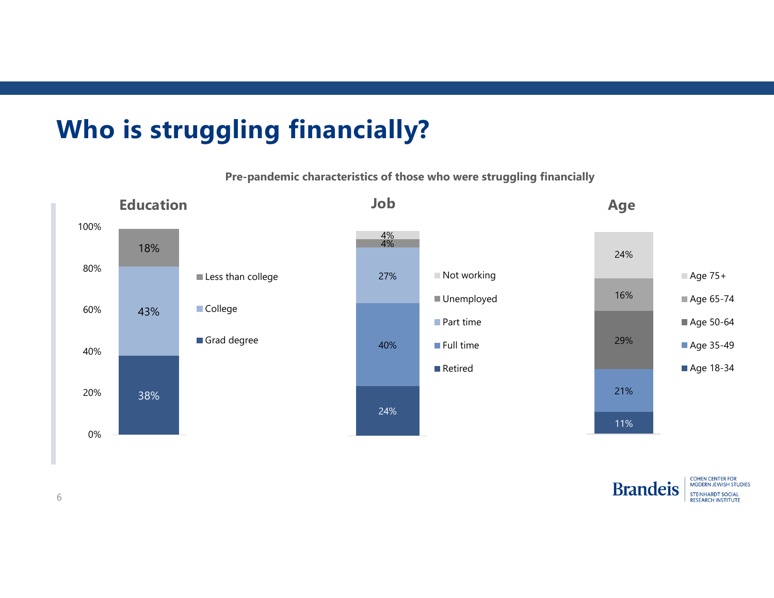# **Who is struggling financially?**

**Pre-pandemic characteristics of those who were struggling financially**



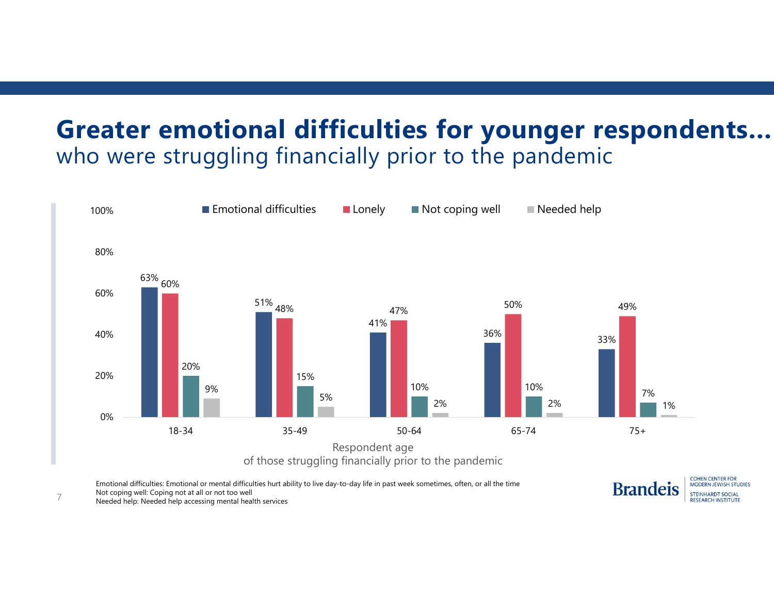#### **Greater emotional difficulties for younger respondents…**  who were struggling financially prior to the pandemic



Emotional difficulties: Emotional or mental difficulties hurt ability to live day-to-day life in past week sometimes, often, or all the time Not coping well: Coping not at all or not too well

**Brandeis** 

**COHEN CENTER FOR** MODERN JEWISH STUDIES **STEINHARDT SOCIAL RESEARCH INSTITUTE** 

Not coping well: Coping not at all or not too well<br>Needed help: Needed help accessing mental health services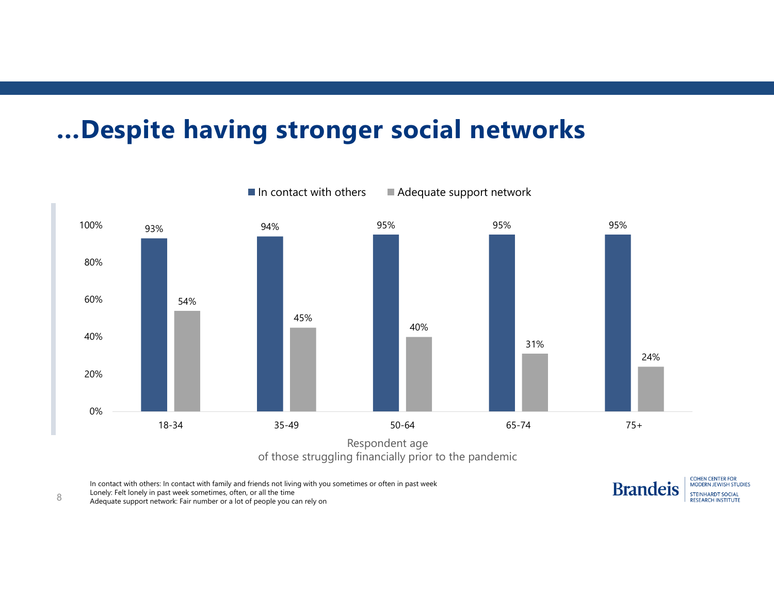#### **…Despite having stronger social networks**



In contact with others: In contact with family and friends not living with you sometimes or often in past week

Lonely: Felt lonely in past week sometimes, often, or all the time

Example of the part of the support in past week sometimes, often, or all the time<br>Adequate support network: Fair number or a lot of people you can rely on

**COHEN CENTER FOR** MODERN JEWISH STUDIES **Brandeis STEINHARDT SOCIAL RESEARCH INSTITUTE**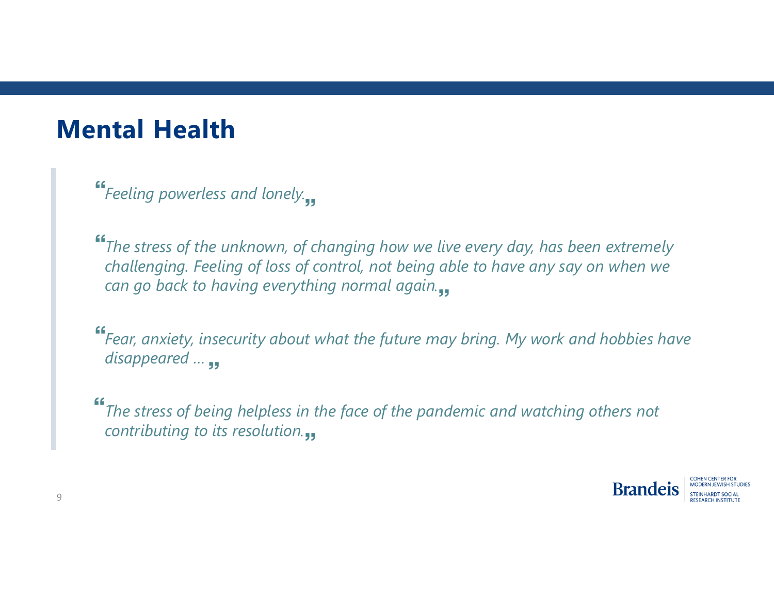### **Mental Health**

*Feeling powerless and lonely.*

*The stress of the unknown, of changing how we live every day, has been extremely challenging. Feeling of loss of control, not being able to have any say on when we can go back to having everything normal again.*

*Fear, anxiety, insecurity about what the future may bring. My work and hobbies have disappeared …*

*The stress of being helpless in the face of the pandemic and watching others not contributing to its resolution.*

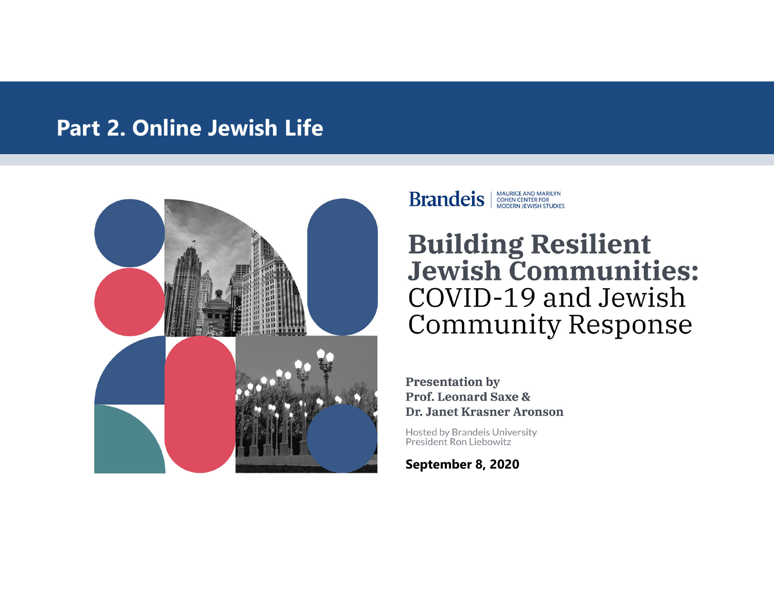#### **Part 2. Online Jewish Life**



Brandeis | MAURICE AND MARILYN

#### **Building Resilient Jewish Communities:** COVID-19 and Jewish **Community Response**

**Presentation by Prof. Leonard Saxe & Dr. Janet Krasner Aronson** 

**Hosted by Brandeis University** President Ron Liebowitz

**September 8, 2020**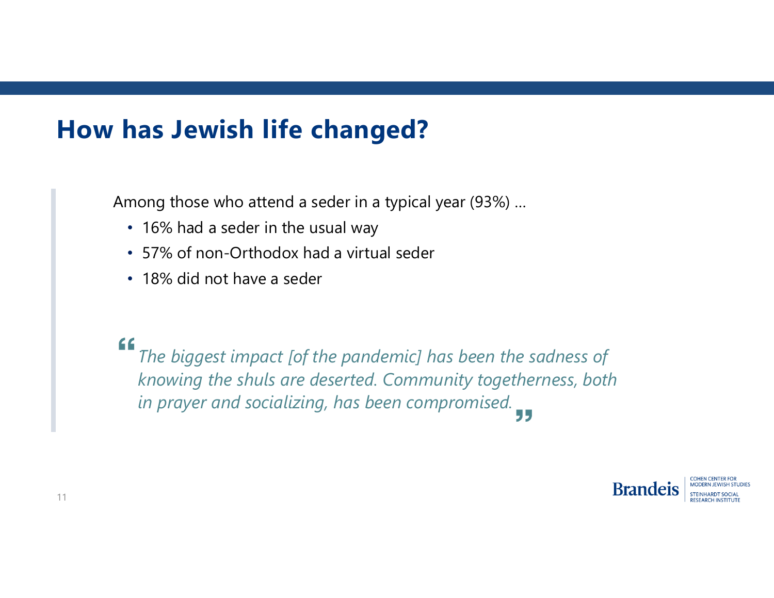### **How has Jewish life changed?**

Among those who attend a seder in a typical year (93%) …

- 16% had a seder in the usual way
- 57% of non-Orthodox had a virtual seder
- 18% did not have a seder

" *The biggest impact [of the pandemic] has been the sadness of knowing the shuls are deserted. Community togetherness, both in prayer and socializing, has been compromised.* 

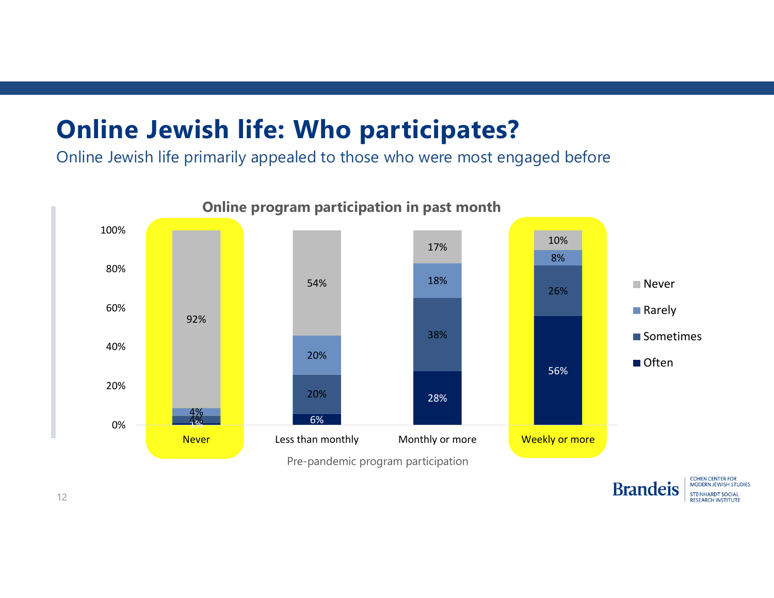## **Online Jewish life: Who participates?**

Online Jewish life primarily appealed to those who were most engaged before



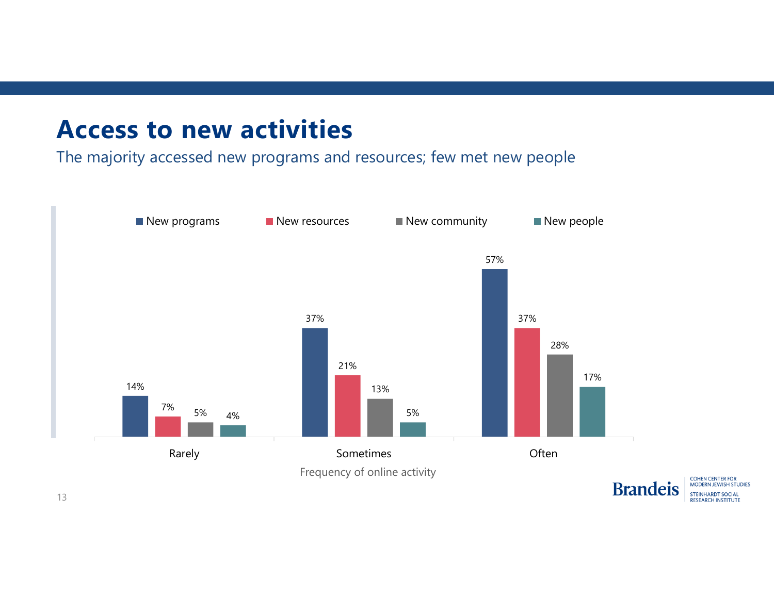#### **Access to new activities**

The majority accessed new programs and resources; few met new people



**RESEARCH INSTITUTE** 

13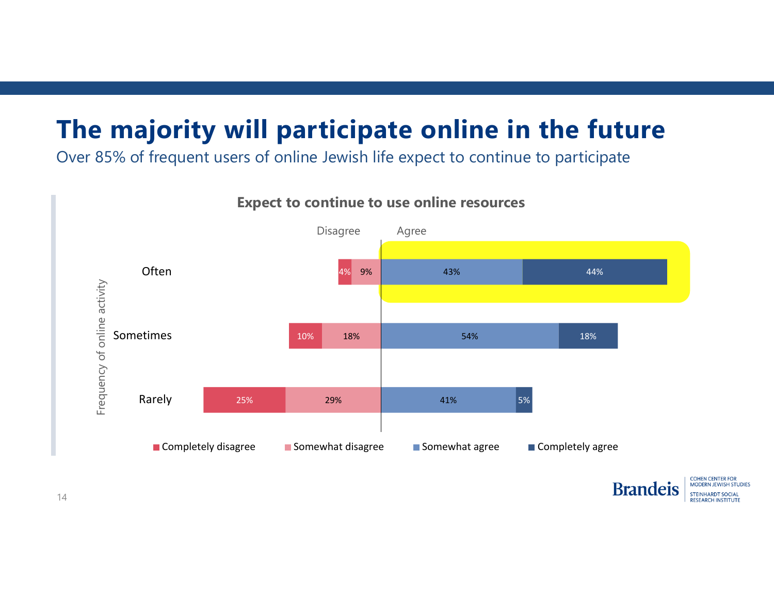## **The majority will participate online in the future**

Over 85% of frequent users of online Jewish life expect to continue to participate



**Expect to continue to use online resources**



**COHEN CENTER FOR** MODERN JEWISH STUDIES **STEINHARDT SOCIAL RESEARCH INSTITUTE**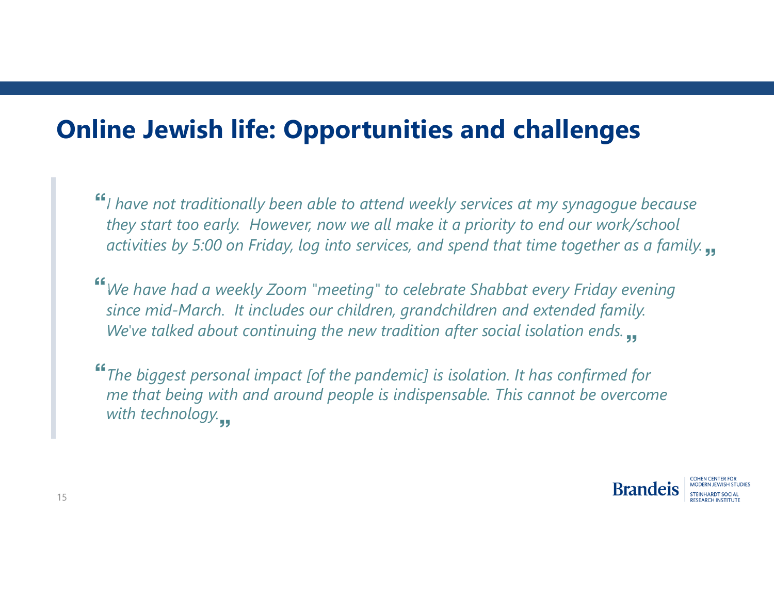#### **Online Jewish life: Opportunities and challenges**

*I have not traditionally been able to attend weekly services at my synagogue because they start too early. However, now we all make it a priority to end our work/school activities by 5:00 on Friday, log into services, and spend that time together as a family.*

*We have had a weekly Zoom "meeting" to celebrate Shabbat every Friday evening since mid-March. It includes our children, grandchildren and extended family. We've talked about continuing the new tradition after social isolation ends.*

*The biggest personal impact [of the pandemic] is isolation. It has confirmed for me that being with and around people is indispensable. This cannot be overcome with technology.*

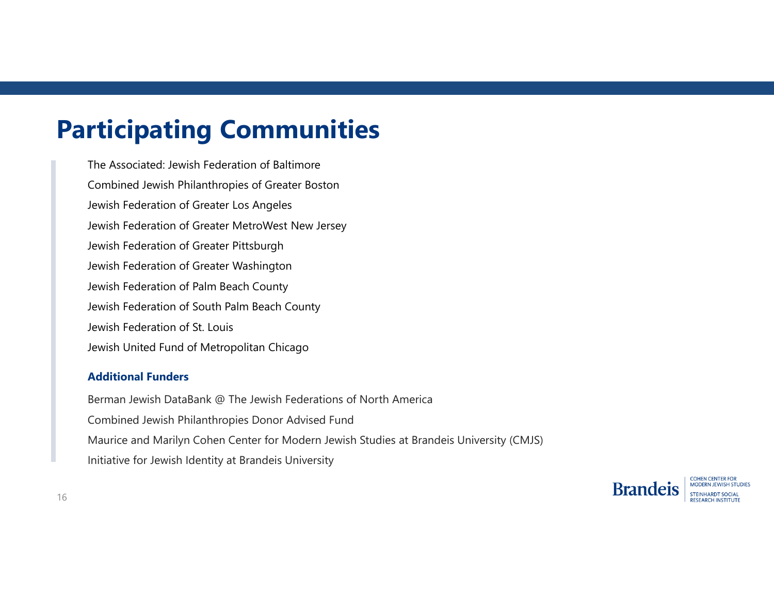## **Participating Communities**

The Associated: Jewish Federation of BaltimoreCombined Jewish Philanthropies of Greater Boston Jewish Federation of Greater Los Angeles Jewish Federation of Greater MetroWest New Jersey Jewish Federation of Greater Pittsburgh Jewish Federation of Greater Washington Jewish Federation of Palm Beach County Jewish Federation of South Palm Beach County Jewish Federation of St. LouisJewish United Fund of Metropolitan Chicago

#### **Additional Funders**

Berman Jewish DataBank @ The Jewish Federations of North America Combined Jewish Philanthropies Donor Advised Fund Maurice and Marilyn Cohen Center for Modern Jewish Studies at Brandeis University (CMJS) Initiative for Jewish Identity at Brandeis University



16